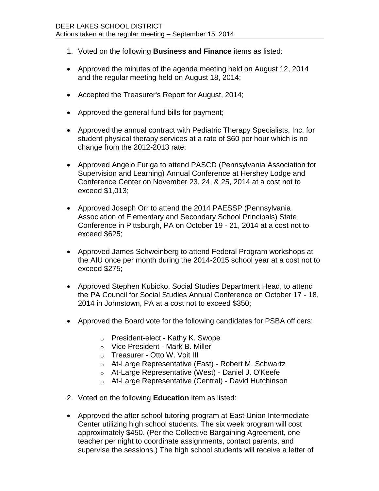- 1. Voted on the following **Business and Finance** items as listed:
- Approved the minutes of the agenda meeting held on August 12, 2014 and the regular meeting held on August 18, 2014;
- Accepted the Treasurer's Report for August, 2014;
- Approved the general fund bills for payment;
- Approved the annual contract with Pediatric Therapy Specialists, Inc. for student physical therapy services at a rate of \$60 per hour which is no change from the 2012-2013 rate;
- Approved Angelo Furiga to attend PASCD (Pennsylvania Association for Supervision and Learning) Annual Conference at Hershey Lodge and Conference Center on November 23, 24, & 25, 2014 at a cost not to exceed \$1,013;
- Approved Joseph Orr to attend the 2014 PAESSP (Pennsylvania Association of Elementary and Secondary School Principals) State Conference in Pittsburgh, PA on October 19 - 21, 2014 at a cost not to exceed \$625;
- Approved James Schweinberg to attend Federal Program workshops at the AIU once per month during the 2014-2015 school year at a cost not to exceed \$275;
- Approved Stephen Kubicko, Social Studies Department Head, to attend the PA Council for Social Studies Annual Conference on October 17 - 18, 2014 in Johnstown, PA at a cost not to exceed \$350;
- Approved the Board vote for the following candidates for PSBA officers:
	- o President-elect Kathy K. Swope
	- o Vice President Mark B. Miller
	- o Treasurer Otto W. Voit III
	- o At-Large Representative (East) Robert M. Schwartz
	- o At-Large Representative (West) Daniel J. O'Keefe
	- o At-Large Representative (Central) David Hutchinson
- 2. Voted on the following **Education** item as listed:
- Approved the after school tutoring program at East Union Intermediate Center utilizing high school students. The six week program will cost approximately \$450. (Per the Collective Bargaining Agreement, one teacher per night to coordinate assignments, contact parents, and supervise the sessions.) The high school students will receive a letter of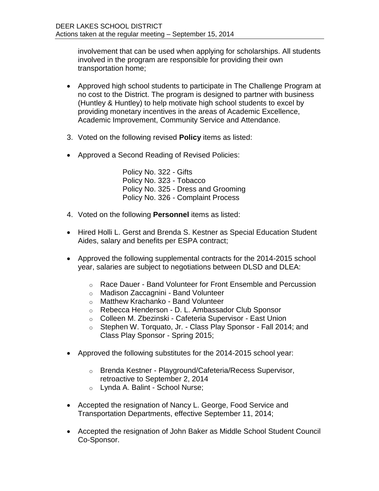involvement that can be used when applying for scholarships. All students involved in the program are responsible for providing their own transportation home;

- Approved high school students to participate in The Challenge Program at no cost to the District. The program is designed to partner with business (Huntley & Huntley) to help motivate high school students to excel by providing monetary incentives in the areas of Academic Excellence, Academic Improvement, Community Service and Attendance.
- 3. Voted on the following revised **Policy** items as listed:
- Approved a Second Reading of Revised Policies:

Policy No. 322 - Gifts Policy No. 323 - Tobacco Policy No. 325 - Dress and Grooming Policy No. 326 - Complaint Process

- 4. Voted on the following **Personnel** items as listed:
- Hired Holli L. Gerst and Brenda S. Kestner as Special Education Student Aides, salary and benefits per ESPA contract;
- Approved the following supplemental contracts for the 2014-2015 school year, salaries are subject to negotiations between DLSD and DLEA:
	- o Race Dauer Band Volunteer for Front Ensemble and Percussion
	- o Madison Zaccagnini Band Volunteer
	- o Matthew Krachanko Band Volunteer
	- o Rebecca Henderson D. L. Ambassador Club Sponsor
	- o Colleen M. Zbezinski Cafeteria Supervisor East Union
	- o Stephen W. Torquato, Jr. Class Play Sponsor Fall 2014; and Class Play Sponsor - Spring 2015;
- Approved the following substitutes for the 2014-2015 school year:
	- o Brenda Kestner Playground/Cafeteria/Recess Supervisor, retroactive to September 2, 2014
	- o Lynda A. Balint School Nurse;
- Accepted the resignation of Nancy L. George, Food Service and Transportation Departments, effective September 11, 2014;
- Accepted the resignation of John Baker as Middle School Student Council Co-Sponsor.